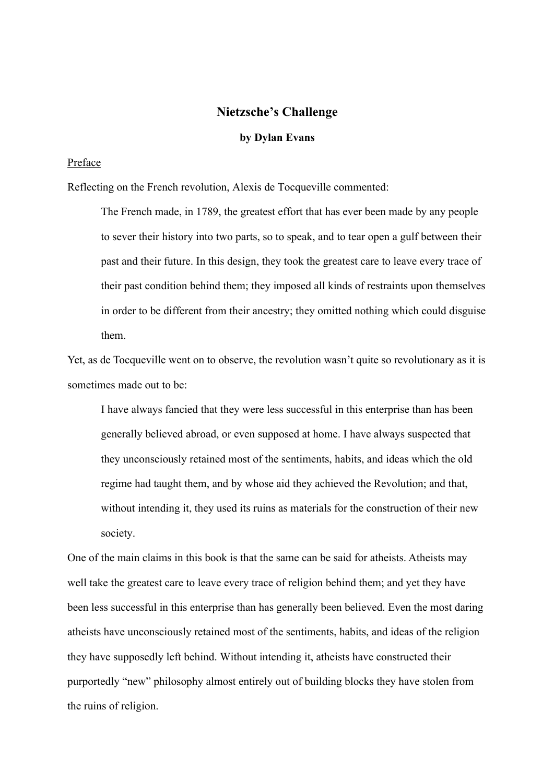## **Nietzsche's Challenge**

## **by Dylan Evans**

#### Preface

Reflecting on the French revolution, Alexis de Tocqueville commented:

The French made, in 1789, the greatest effort that has ever been made by any people to sever their history into two parts, so to speak, and to tear open a gulf between their past and their future. In this design, they took the greatest care to leave every trace of their past condition behind them; they imposed all kinds of restraints upon themselves in order to be different from their ancestry; they omitted nothing which could disguise them.

Yet, as de Tocqueville went on to observe, the revolution wasn't quite so revolutionary as it is sometimes made out to be:

I have always fancied that they were less successful in this enterprise than has been generally believed abroad, or even supposed at home. I have always suspected that they unconsciously retained most of the sentiments, habits, and ideas which the old regime had taught them, and by whose aid they achieved the Revolution; and that, without intending it, they used its ruins as materials for the construction of their new society.

One of the main claims in this book is that the same can be said for atheists. Atheists may well take the greatest care to leave every trace of religion behind them; and yet they have been less successful in this enterprise than has generally been believed. Even the most daring atheists have unconsciously retained most of the sentiments, habits, and ideas of the religion they have supposedly left behind. Without intending it, atheists have constructed their purportedly "new" philosophy almost entirely out of building blocks they have stolen from the ruins of religion.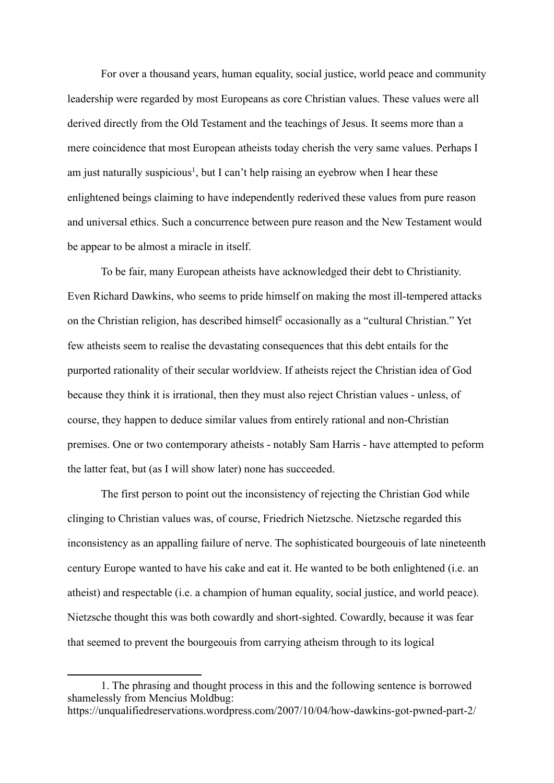For over a thousand years, human equality, social justice, world peace and community leadership were regarded by most Europeans as core Christian values. These values were all derived directly from the Old Testament and the teachings of Jesus. It seems more than a mere coincidence that most European atheists today cherish the very same values. Perhaps I am just naturally suspicious<sup>1</sup>, but I can't help raising an eyebrow when I hear these enlightened beings claiming to have independently rederived these values from pure reason and universal ethics. Such a concurrence between pure reason and the New Testament would be appear to be almost a miracle in itself.

To be fair, many European atheists have acknowledged their debt to Christianity. Even Richard Dawkins, who seems to pride himself on making the most ill-tempered attacks on the Christian religion, has described himself<sup>2</sup> occasionally as a "cultural Christian." Yet few atheists seem to realise the devastating consequences that this debt entails for the purported rationality of their secular worldview. If atheists reject the Christian idea of God because they think it is irrational, then they must also reject Christian values - unless, of course, they happen to deduce similar values from entirely rational and non-Christian premises. One or two contemporary atheists - notably Sam Harris - have attempted to peform the latter feat, but (as I will show later) none has succeeded.

The first person to point out the inconsistency of rejecting the Christian God while clinging to Christian values was, of course, Friedrich Nietzsche. Nietzsche regarded this inconsistency as an appalling failure of nerve. The sophisticated bourgeouis of late nineteenth century Europe wanted to have his cake and eat it. He wanted to be both enlightened (i.e. an atheist) and respectable (i.e. a champion of human equality, social justice, and world peace). Nietzsche thought this was both cowardly and short-sighted. Cowardly, because it was fear that seemed to prevent the bourgeouis from carrying atheism through to its logical

 $\overline{a}$ 

<sup>1.</sup> The phrasing and thought process in this and the following sentence is borrowed shamelessly from Mencius Moldbug: https://unqualifiedreservations.wordpress.com/2007/10/04/how-dawkins-got-pwned-part-2/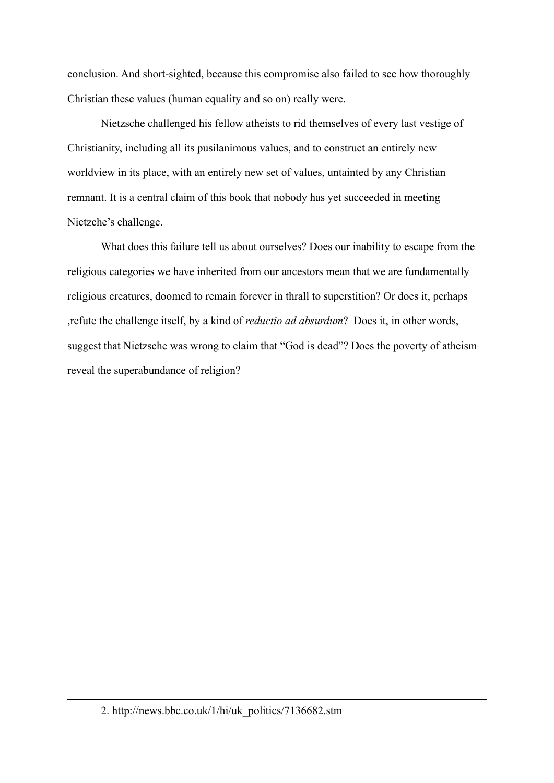conclusion. And short-sighted, because this compromise also failed to see how thoroughly Christian these values (human equality and so on) really were.

Nietzsche challenged his fellow atheists to rid themselves of every last vestige of Christianity, including all its pusilanimous values, and to construct an entirely new worldview in its place, with an entirely new set of values, untainted by any Christian remnant. It is a central claim of this book that nobody has yet succeeded in meeting Nietzche's challenge.

What does this failure tell us about ourselves? Does our inability to escape from the religious categories we have inherited from our ancestors mean that we are fundamentally religious creatures, doomed to remain forever in thrall to superstition? Or does it, perhaps ,refute the challenge itself, by a kind of *reductio ad absurdum*? Does it, in other words, suggest that Nietzsche was wrong to claim that "God is dead"? Does the poverty of atheism reveal the superabundance of religion?

 $\overline{a}$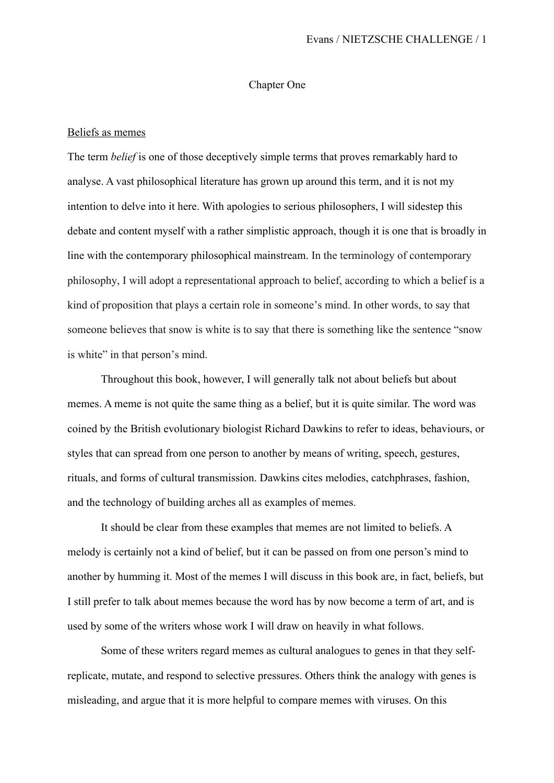#### Chapter One

#### Beliefs as memes

The term *belief* is one of those deceptively simple terms that proves remarkably hard to analyse. A vast philosophical literature has grown up around this term, and it is not my intention to delve into it here. With apologies to serious philosophers, I will sidestep this debate and content myself with a rather simplistic approach, though it is one that is broadly in line with the contemporary philosophical mainstream. In the terminology of contemporary philosophy, I will adopt a representational approach to belief, according to which a belief is a kind of proposition that plays a certain role in someone's mind. In other words, to say that someone believes that snow is white is to say that there is something like the sentence "snow is white" in that person's mind.

Throughout this book, however, I will generally talk not about beliefs but about memes. A meme is not quite the same thing as a belief, but it is quite similar. The word was coined by the British evolutionary biologist Richard Dawkins to refer to ideas, behaviours, or styles that can spread from one person to another by means of writing, speech, gestures, rituals, and forms of cultural transmission. Dawkins cites melodies, catchphrases, fashion, and the technology of building arches all as examples of memes.

It should be clear from these examples that memes are not limited to beliefs. A melody is certainly not a kind of belief, but it can be passed on from one person's mind to another by humming it. Most of the memes I will discuss in this book are, in fact, beliefs, but I still prefer to talk about memes because the word has by now become a term of art, and is used by some of the writers whose work I will draw on heavily in what follows.

Some of these writers regard memes as cultural analogues to genes in that they selfreplicate, mutate, and respond to selective pressures. Others think the analogy with genes is misleading, and argue that it is more helpful to compare memes with viruses. On this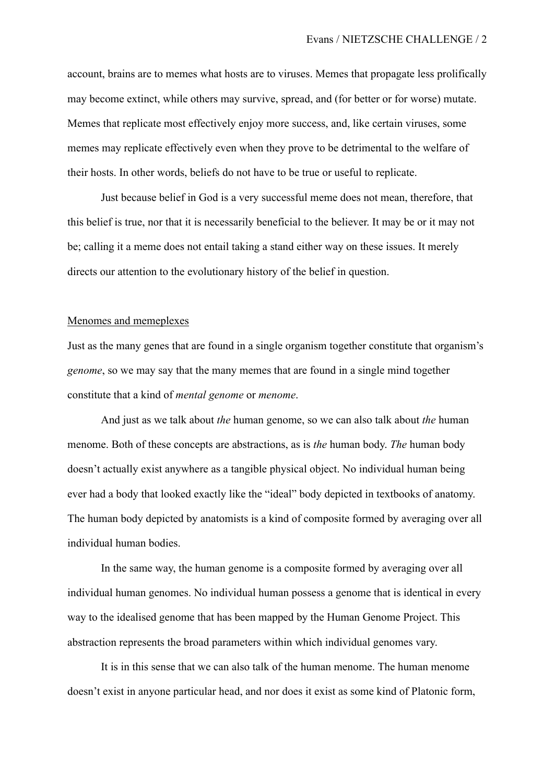account, brains are to memes what hosts are to viruses. Memes that propagate less prolifically may become extinct, while others may survive, spread, and (for better or for worse) mutate. Memes that replicate most effectively enjoy more success, and, like certain viruses, some memes may replicate effectively even when they prove to be detrimental to the welfare of their hosts. In other words, beliefs do not have to be true or useful to replicate.

Just because belief in God is a very successful meme does not mean, therefore, that this belief is true, nor that it is necessarily beneficial to the believer. It may be or it may not be; calling it a meme does not entail taking a stand either way on these issues. It merely directs our attention to the evolutionary history of the belief in question.

#### Menomes and memeplexes

Just as the many genes that are found in a single organism together constitute that organism's *genome*, so we may say that the many memes that are found in a single mind together constitute that a kind of *mental genome* or *menome*.

And just as we talk about *the* human genome, so we can also talk about *the* human menome. Both of these concepts are abstractions, as is *the* human body. *The* human body doesn't actually exist anywhere as a tangible physical object. No individual human being ever had a body that looked exactly like the "ideal" body depicted in textbooks of anatomy. The human body depicted by anatomists is a kind of composite formed by averaging over all individual human bodies.

In the same way, the human genome is a composite formed by averaging over all individual human genomes. No individual human possess a genome that is identical in every way to the idealised genome that has been mapped by the Human Genome Project. This abstraction represents the broad parameters within which individual genomes vary.

It is in this sense that we can also talk of the human menome. The human menome doesn't exist in anyone particular head, and nor does it exist as some kind of Platonic form,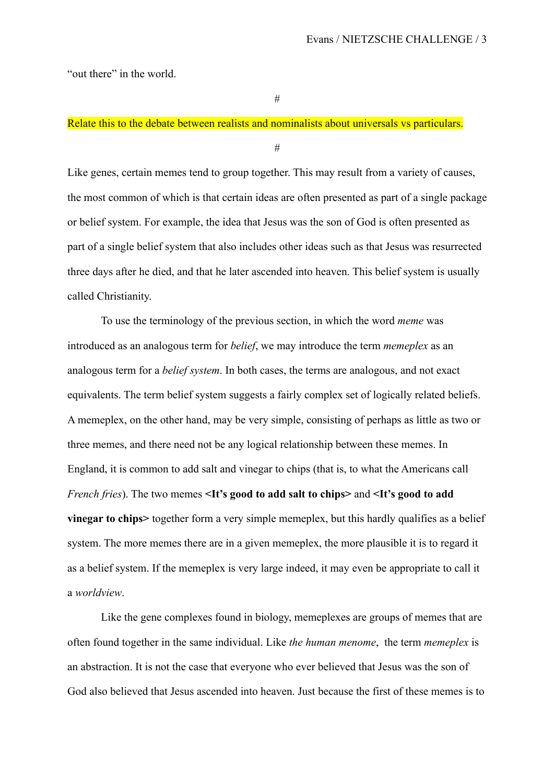"out there" in the world.

#

# Relate this to the debate between realists and nominalists about universals vs particulars.

#

Like genes, certain memes tend to group together. This may result from a variety of causes, the most common of which is that certain ideas are often presented as part of a single package or belief system. For example, the idea that Jesus was the son of God is often presented as part of a single belief system that also includes other ideas such as that Jesus was resurrected three days after he died, and that he later ascended into heaven. This belief system is usually called Christianity.

To use the terminology of the previous section, in which the word *meme* was introduced as an analogous term for *belief*, we may introduce the term *memeplex* as an analogous term for a *belief system*. In both cases, the terms are analogous, and not exact equivalents. The term belief system suggests a fairly complex set of logically related beliefs. A memeplex, on the other hand, may be very simple, consisting of perhaps as little as two or three memes, and there need not be any logical relationship between these memes. In England, it is common to add salt and vinegar to chips (that is, to what the Americans call *French fries*). The two memes **<It's good to add salt to chips>** and **<It's good to add vinegar to chips>** together form a very simple memeplex, but this hardly qualifies as a belief system. The more memes there are in a given memeplex, the more plausible it is to regard it as a belief system. If the memeplex is very large indeed, it may even be appropriate to call it a *worldview*.

Like the gene complexes found in biology, memeplexes are groups of memes that are often found together in the same individual. Like *the human menome*, the term *memeplex* is an abstraction. It is not the case that everyone who ever believed that Jesus was the son of God also believed that Jesus ascended into heaven. Just because the first of these memes is to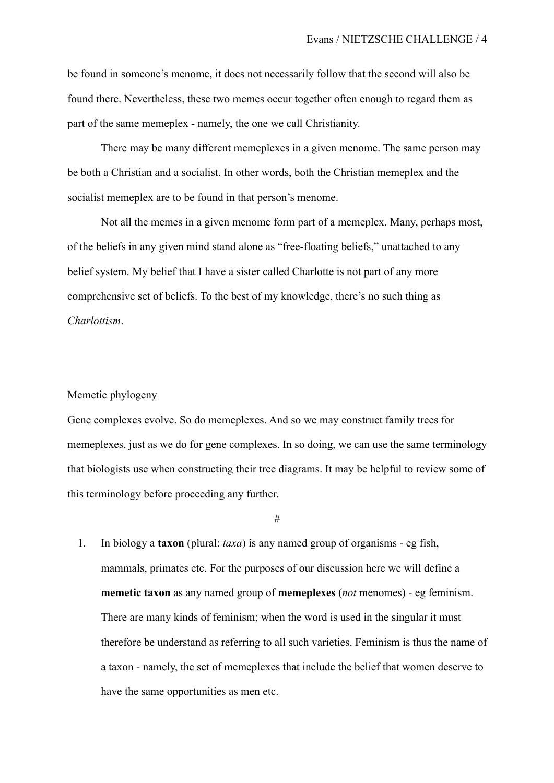be found in someone's menome, it does not necessarily follow that the second will also be found there. Nevertheless, these two memes occur together often enough to regard them as part of the same memeplex - namely, the one we call Christianity.

There may be many different memeplexes in a given menome. The same person may be both a Christian and a socialist. In other words, both the Christian memeplex and the socialist memeplex are to be found in that person's menome.

Not all the memes in a given menome form part of a memeplex. Many, perhaps most, of the beliefs in any given mind stand alone as "free-floating beliefs," unattached to any belief system. My belief that I have a sister called Charlotte is not part of any more comprehensive set of beliefs. To the best of my knowledge, there's no such thing as *Charlottism*.

#### Memetic phylogeny

Gene complexes evolve. So do memeplexes. And so we may construct family trees for memeplexes, just as we do for gene complexes. In so doing, we can use the same terminology that biologists use when constructing their tree diagrams. It may be helpful to review some of this terminology before proceeding any further.

#

1. In biology a **taxon** (plural: *taxa*) is any named group of organisms - eg fish, mammals, primates etc. For the purposes of our discussion here we will define a **memetic taxon** as any named group of **memeplexes** (*not* menomes) - eg feminism. There are many kinds of feminism; when the word is used in the singular it must therefore be understand as referring to all such varieties. Feminism is thus the name of a taxon - namely, the set of memeplexes that include the belief that women deserve to have the same opportunities as men etc.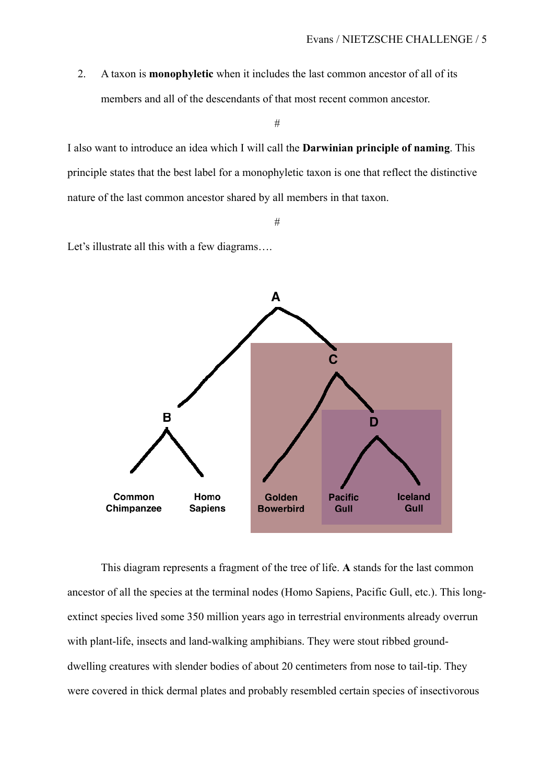2. A taxon is **monophyletic** when it includes the last common ancestor of all of its members and all of the descendants of that most recent common ancestor.

#

I also want to introduce an idea which I will call the **Darwinian principle of naming**. This principle states that the best label for a monophyletic taxon is one that reflect the distinctive nature of the last common ancestor shared by all members in that taxon.

#

Let's illustrate all this with a few diagrams....



This diagram represents a fragment of the tree of life. **A** stands for the last common ancestor of all the species at the terminal nodes (Homo Sapiens, Pacific Gull, etc.). This longextinct species lived some 350 million years ago in terrestrial environments already overrun with plant-life, insects and land-walking amphibians. They were stout ribbed grounddwelling creatures with slender bodies of about 20 centimeters from nose to tail-tip. They were covered in thick dermal plates and probably resembled certain species of insectivorous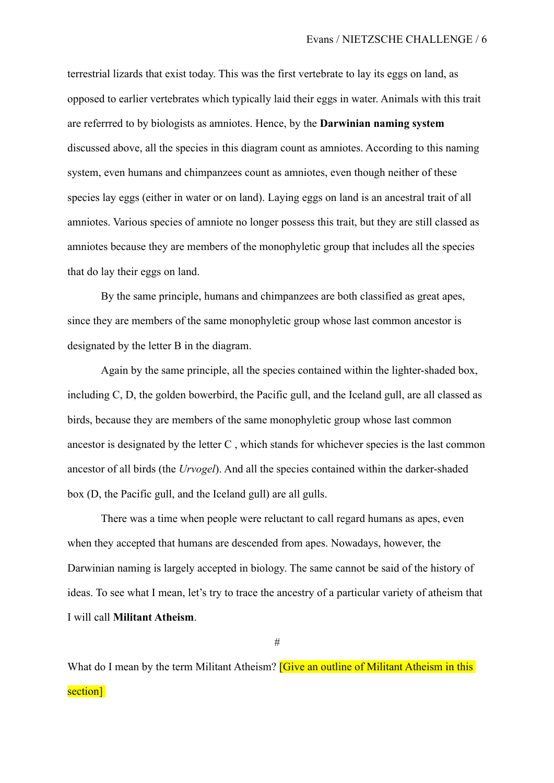terrestrial lizards that exist today. This was the first vertebrate to lay its eggs on land, as opposed to earlier vertebrates which typically laid their eggs in water. Animals with this trait are referrred to by biologists as amniotes. Hence, by the **Darwinian naming system** discussed above, all the species in this diagram count as amniotes. According to this naming system, even humans and chimpanzees count as amniotes, even though neither of these species lay eggs (either in water or on land). Laying eggs on land is an ancestral trait of all amniotes. Various species of amniote no longer possess this trait, but they are still classed as amniotes because they are members of the monophyletic group that includes all the species that do lay their eggs on land.

By the same principle, humans and chimpanzees are both classified as great apes, since they are members of the same monophyletic group whose last common ancestor is designated by the letter B in the diagram.

Again by the same principle, all the species contained within the lighter-shaded box, including C, D, the golden bowerbird, the Pacific gull, and the Iceland gull, are all classed as birds, because they are members of the same monophyletic group whose last common ancestor is designated by the letter C , which stands for whichever species is the last common ancestor of all birds (the *Urvogel*). And all the species contained within the darker-shaded box (D, the Pacific gull, and the Iceland gull) are all gulls.

There was a time when people were reluctant to call regard humans as apes, even when they accepted that humans are descended from apes. Nowadays, however, the Darwinian naming is largely accepted in biology. The same cannot be said of the history of ideas. To see what I mean, let's try to trace the ancestry of a particular variety of atheism that I will call **Militant Atheism**.

#

What do I mean by the term Militant Atheism? **[Give an outline of Militant Atheism in this** section<sup>1</sup>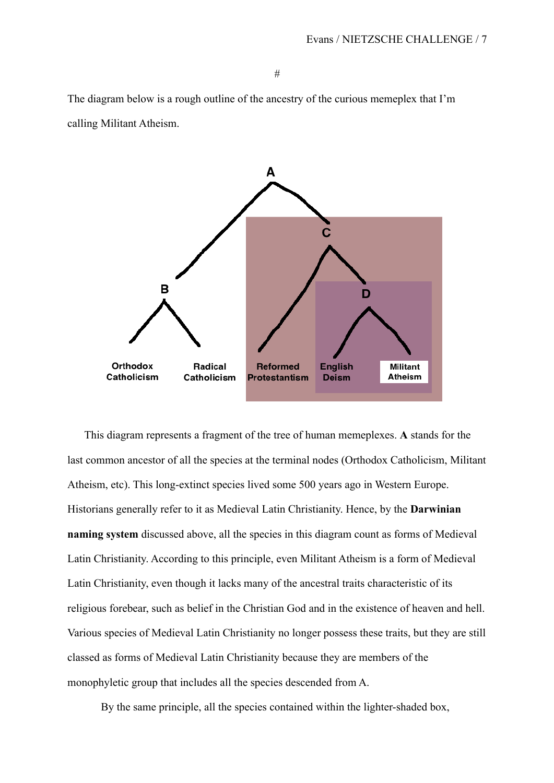The diagram below is a rough outline of the ancestry of the curious memeplex that I'm calling Militant Atheism.



This diagram represents a fragment of the tree of human memeplexes. **A** stands for the last common ancestor of all the species at the terminal nodes (Orthodox Catholicism, Militant Atheism, etc). This long-extinct species lived some 500 years ago in Western Europe. Historians generally refer to it as Medieval Latin Christianity. Hence, by the **Darwinian naming system** discussed above, all the species in this diagram count as forms of Medieval Latin Christianity. According to this principle, even Militant Atheism is a form of Medieval Latin Christianity, even though it lacks many of the ancestral traits characteristic of its religious forebear, such as belief in the Christian God and in the existence of heaven and hell. Various species of Medieval Latin Christianity no longer possess these traits, but they are still classed as forms of Medieval Latin Christianity because they are members of the monophyletic group that includes all the species descended from A.

By the same principle, all the species contained within the lighter-shaded box,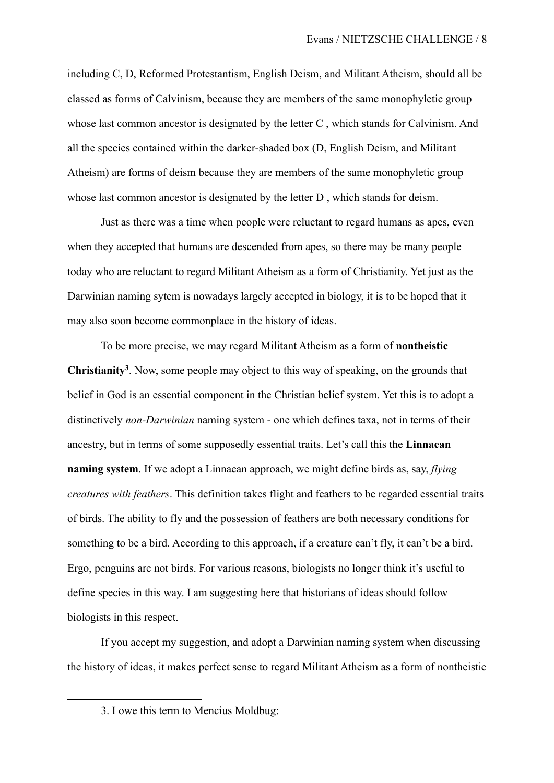including C, D, Reformed Protestantism, English Deism, and Militant Atheism, should all be classed as forms of Calvinism, because they are members of the same monophyletic group whose last common ancestor is designated by the letter C , which stands for Calvinism. And all the species contained within the darker-shaded box (D, English Deism, and Militant Atheism) are forms of deism because they are members of the same monophyletic group whose last common ancestor is designated by the letter D , which stands for deism.

Just as there was a time when people were reluctant to regard humans as apes, even when they accepted that humans are descended from apes, so there may be many people today who are reluctant to regard Militant Atheism as a form of Christianity. Yet just as the Darwinian naming sytem is nowadays largely accepted in biology, it is to be hoped that it may also soon become commonplace in the history of ideas.

To be more precise, we may regard Militant Atheism as a form of **nontheistic Christianity3**. Now, some people may object to this way of speaking, on the grounds that belief in God is an essential component in the Christian belief system. Yet this is to adopt a distinctively *non-Darwinian* naming system - one which defines taxa, not in terms of their ancestry, but in terms of some supposedly essential traits. Let's call this the **Linnaean naming system**. If we adopt a Linnaean approach, we might define birds as, say, *flying creatures with feathers*. This definition takes flight and feathers to be regarded essential traits of birds. The ability to fly and the possession of feathers are both necessary conditions for something to be a bird. According to this approach, if a creature can't fly, it can't be a bird. Ergo, penguins are not birds. For various reasons, biologists no longer think it's useful to define species in this way. I am suggesting here that historians of ideas should follow biologists in this respect.

If you accept my suggestion, and adopt a Darwinian naming system when discussing the history of ideas, it makes perfect sense to regard Militant Atheism as a form of nontheistic

 $\overline{a}$ 

<sup>3.</sup> I owe this term to Mencius Moldbug: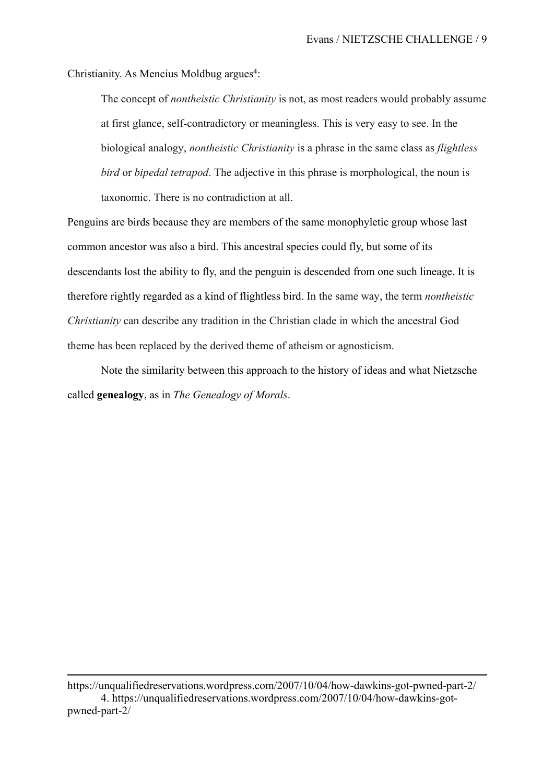Christianity. As Mencius Moldbug argues<sup>4</sup>:

The concept of *nontheistic Christianity* is not, as most readers would probably assume at first glance, self-contradictory or meaningless. This is very easy to see. In the biological analogy, *nontheistic Christianity* is a phrase in the same class as *flightless bird* or *bipedal tetrapod*. The adjective in this phrase is morphological, the noun is taxonomic. There is no contradiction at all.

Penguins are birds because they are members of the same monophyletic group whose last common ancestor was also a bird. This ancestral species could fly, but some of its descendants lost the ability to fly, and the penguin is descended from one such lineage. It is therefore rightly regarded as a kind of flightless bird. In the same way, the term *nontheistic Christianity* can describe any tradition in the Christian clade in which the ancestral God theme has been replaced by the derived theme of atheism or agnosticism.

Note the similarity between this approach to the history of ideas and what Nietzsche called **genealogy**, as in *The Genealogy of Morals*.

https://unqualifiedreservations.wordpress.com/2007/10/04/how-dawkins-got-pwned-part-2/ 4. https://unqualifiedreservations.wordpress.com/2007/10/04/how-dawkins-gotpwned-part-2/

 $\overline{a}$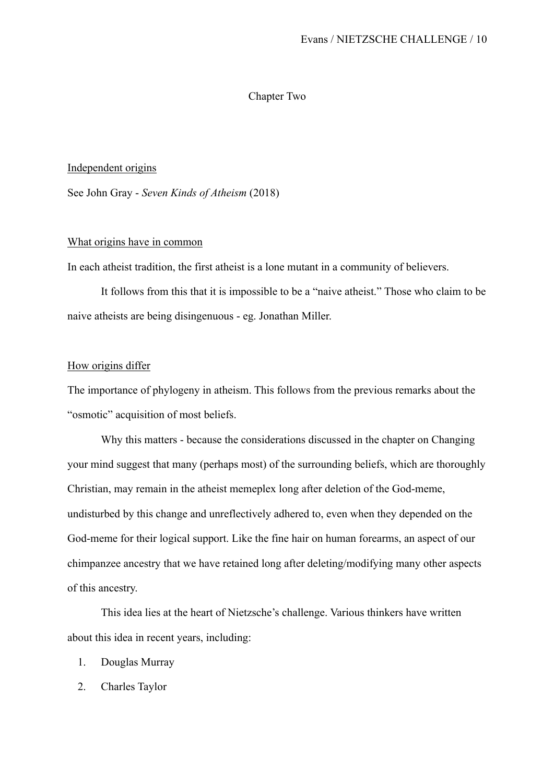#### Chapter Two

## Independent origins

See John Gray - *Seven Kinds of Atheism* (2018)

## What origins have in common

In each atheist tradition, the first atheist is a lone mutant in a community of believers.

It follows from this that it is impossible to be a "naive atheist." Those who claim to be naive atheists are being disingenuous - eg. Jonathan Miller.

#### How origins differ

The importance of phylogeny in atheism. This follows from the previous remarks about the "osmotic" acquisition of most beliefs.

Why this matters - because the considerations discussed in the chapter on Changing your mind suggest that many (perhaps most) of the surrounding beliefs, which are thoroughly Christian, may remain in the atheist memeplex long after deletion of the God-meme, undisturbed by this change and unreflectively adhered to, even when they depended on the God-meme for their logical support. Like the fine hair on human forearms, an aspect of our chimpanzee ancestry that we have retained long after deleting/modifying many other aspects of this ancestry.

This idea lies at the heart of Nietzsche's challenge. Various thinkers have written about this idea in recent years, including:

- 1. Douglas Murray
- 2. Charles Taylor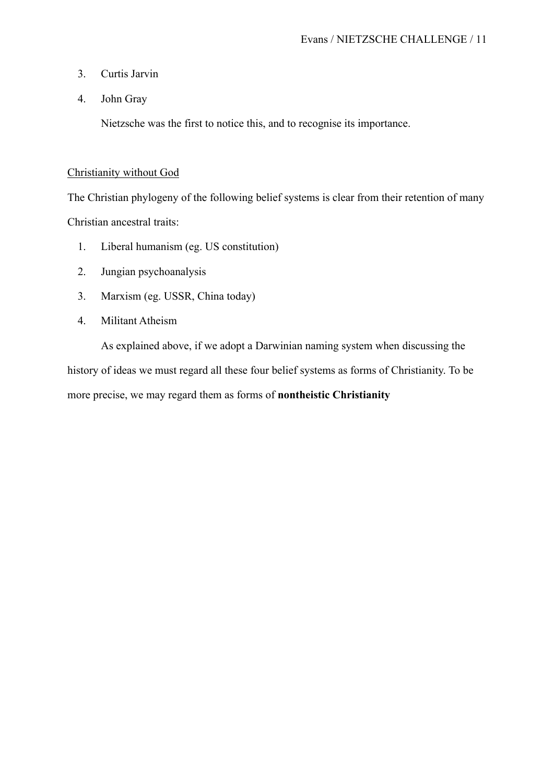- 3. Curtis Jarvin
- 4. John Gray

Nietzsche was the first to notice this, and to recognise its importance.

## Christianity without God

The Christian phylogeny of the following belief systems is clear from their retention of many Christian ancestral traits:

- 1. Liberal humanism (eg. US constitution)
- 2. Jungian psychoanalysis
- 3. Marxism (eg. USSR, China today)
- 4. Militant Atheism

As explained above, if we adopt a Darwinian naming system when discussing the history of ideas we must regard all these four belief systems as forms of Christianity. To be more precise, we may regard them as forms of **nontheistic Christianity**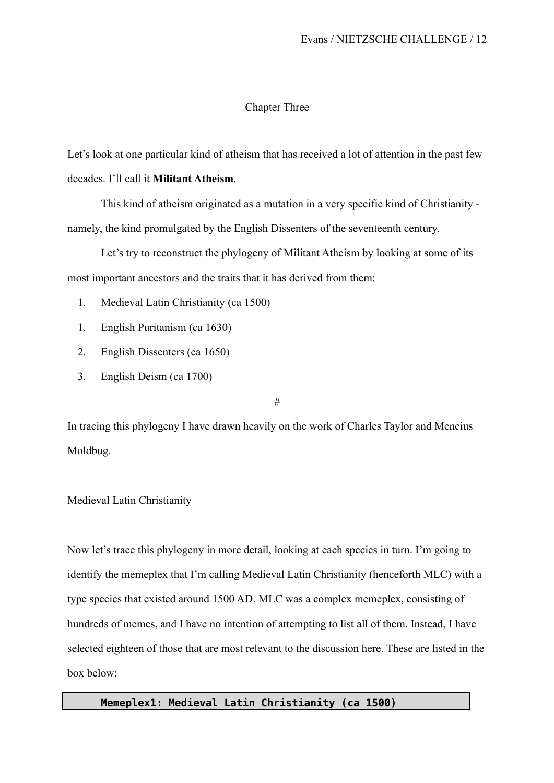## Chapter Three

Let's look at one particular kind of atheism that has received a lot of attention in the past few decades. I'll call it **Militant Atheism**.

This kind of atheism originated as a mutation in a very specific kind of Christianity namely, the kind promulgated by the English Dissenters of the seventeenth century.

Let's try to reconstruct the phylogeny of Militant Atheism by looking at some of its most important ancestors and the traits that it has derived from them:

- 1. Medieval Latin Christianity (ca 1500)
- 1. English Puritanism (ca 1630)
- 2. English Dissenters (ca 1650)
- 3. English Deism (ca 1700)

#

In tracing this phylogeny I have drawn heavily on the work of Charles Taylor and Mencius Moldbug.

#### Medieval Latin Christianity

Now let's trace this phylogeny in more detail, looking at each species in turn. I'm going to identify the memeplex that I'm calling Medieval Latin Christianity (henceforth MLC) with a type species that existed around 1500 AD. MLC was a complex memeplex, consisting of hundreds of memes, and I have no intention of attempting to list all of them. Instead, I have selected eighteen of those that are most relevant to the discussion here. These are listed in the box below:

### **Memeplex1: Medieval Latin Christianity (ca 1500)**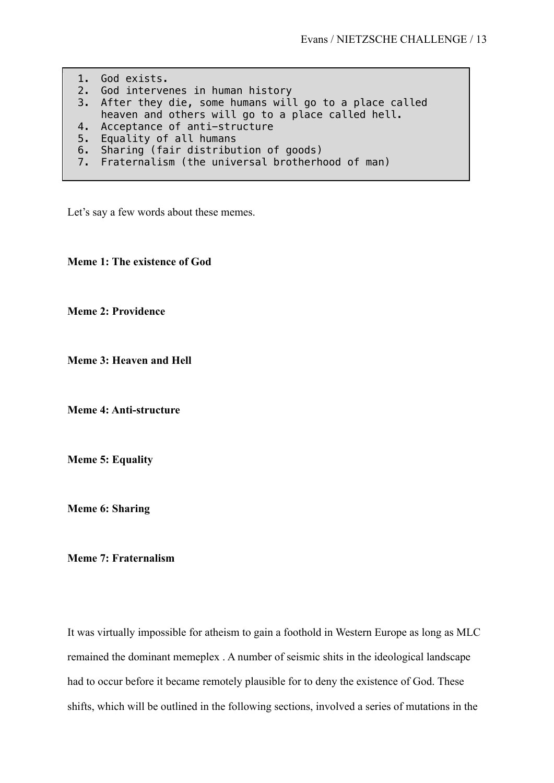1. God exists. 2. God intervenes in human history 3. After they die, some humans will go to a place called heaven and others will go to a place called hell. 4. Acceptance of anti-structure 5. Equality of all humans 6. Sharing (fair distribution of goods) 7. Fraternalism (the universal brotherhood of man)

Let's say a few words about these memes.

**Meme 1: The existence of God**

**Meme 2: Providence**

**Meme 3: Heaven and Hell**

**Meme 4: Anti-structure**

**Meme 5: Equality** 

**Meme 6: Sharing** 

**Meme 7: Fraternalism** 

It was virtually impossible for atheism to gain a foothold in Western Europe as long as MLC remained the dominant memeplex . A number of seismic shits in the ideological landscape had to occur before it became remotely plausible for to deny the existence of God. These shifts, which will be outlined in the following sections, involved a series of mutations in the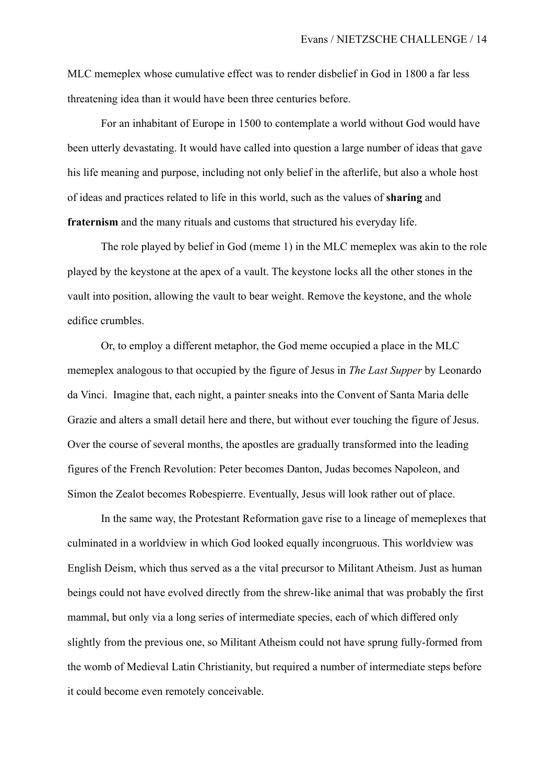MLC memeplex whose cumulative effect was to render disbelief in God in 1800 a far less threatening idea than it would have been three centuries before.

For an inhabitant of Europe in 1500 to contemplate a world without God would have been utterly devastating. It would have called into question a large number of ideas that gave his life meaning and purpose, including not only belief in the afterlife, but also a whole host of ideas and practices related to life in this world, such as the values of **sharing** and **fraternism** and the many rituals and customs that structured his everyday life.

The role played by belief in God (meme 1) in the MLC memeplex was akin to the role played by the keystone at the apex of a vault. The keystone locks all the other stones in the vault into position, allowing the vault to bear weight. Remove the keystone, and the whole edifice crumbles.

Or, to employ a different metaphor, the God meme occupied a place in the MLC memeplex analogous to that occupied by the figure of Jesus in *The Last Supper* by Leonardo da Vinci. Imagine that, each night, a painter sneaks into the Convent of Santa Maria delle Grazie and alters a small detail here and there, but without ever touching the figure of Jesus. Over the course of several months, the apostles are gradually transformed into the leading figures of the French Revolution: Peter becomes Danton, Judas becomes Napoleon, and Simon the Zealot becomes Robespierre. Eventually, Jesus will look rather out of place.

In the same way, the Protestant Reformation gave rise to a lineage of memeplexes that culminated in a worldview in which God looked equally incongruous. This worldview was English Deism, which thus served as a the vital precursor to Militant Atheism. Just as human beings could not have evolved directly from the shrew-like animal that was probably the first mammal, but only via a long series of intermediate species, each of which differed only slightly from the previous one, so Militant Atheism could not have sprung fully-formed from the womb of Medieval Latin Christianity, but required a number of intermediate steps before it could become even remotely conceivable.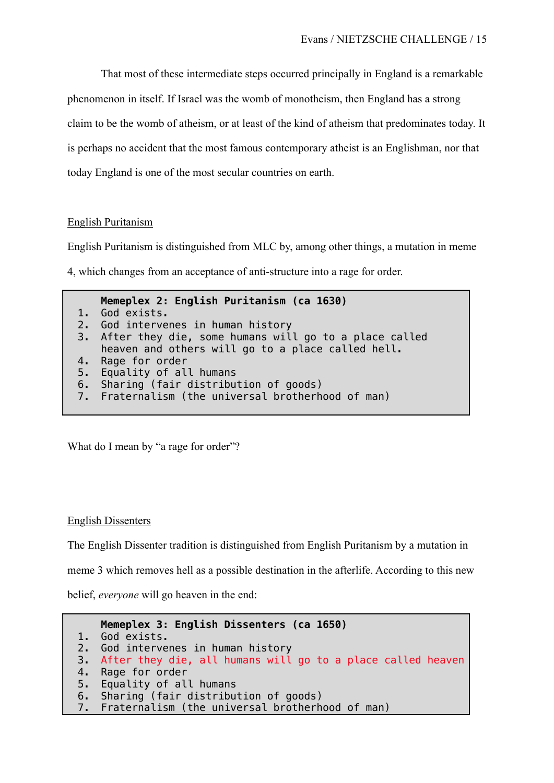That most of these intermediate steps occurred principally in England is a remarkable phenomenon in itself. If Israel was the womb of monotheism, then England has a strong claim to be the womb of atheism, or at least of the kind of atheism that predominates today. It is perhaps no accident that the most famous contemporary atheist is an Englishman, nor that today England is one of the most secular countries on earth.

## English Puritanism

English Puritanism is distinguished from MLC by, among other things, a mutation in meme

4, which changes from an acceptance of anti-structure into a rage for order.

**Memeplex 2: English Puritanism (ca 1630)** 1. God exists. 2. God intervenes in human history 3. After they die, some humans will go to a place called heaven and others will go to a place called hell. 4. Rage for order 5. Equality of all humans 6. Sharing (fair distribution of goods) 7. Fraternalism (the universal brotherhood of man)

What do I mean by "a rage for order"?

#### English Dissenters

The English Dissenter tradition is distinguished from English Puritanism by a mutation in

meme 3 which removes hell as a possible destination in the afterlife. According to this new

belief, *everyone* will go heaven in the end:

```
Memeplex 3: English Dissenters (ca 1650)
1. God exists.
2. God intervenes in human history
3. After they die, all humans will go to a place called heaven 
4. Rage for order
5. Equality of all humans
6. Sharing (fair distribution of goods)
7. Fraternalism (the universal brotherhood of man)
```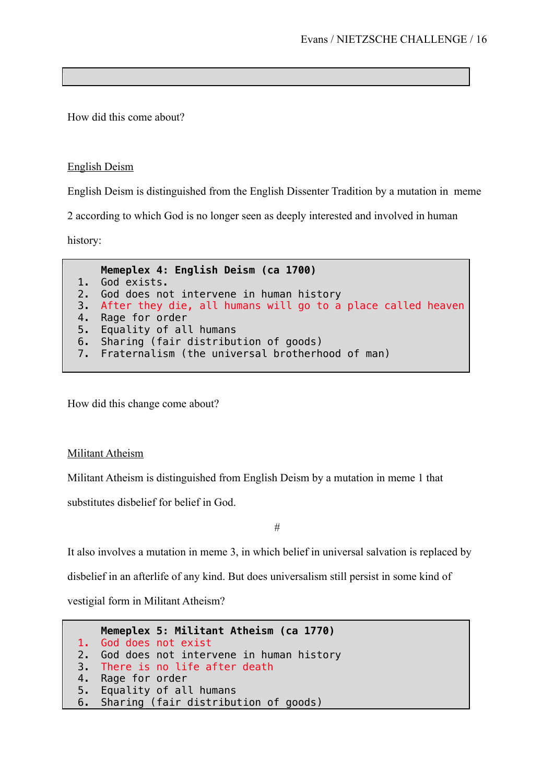How did this come about?

English Deism

English Deism is distinguished from the English Dissenter Tradition by a mutation in meme

2 according to which God is no longer seen as deeply interested and involved in human

history:

**Memeplex 4: English Deism (ca 1700)** 1. God exists. 2. God does not intervene in human history 3. After they die, all humans will go to a place called heaven 4. Rage for order 5. Equality of all humans 6. Sharing (fair distribution of goods) 7. Fraternalism (the universal brotherhood of man)

How did this change come about?

Militant Atheism

Militant Atheism is distinguished from English Deism by a mutation in meme 1 that

substitutes disbelief for belief in God.

#

It also involves a mutation in meme 3, in which belief in universal salvation is replaced by

disbelief in an afterlife of any kind. But does universalism still persist in some kind of

vestigial form in Militant Atheism?

```
Memeplex 5: Militant Atheism (ca 1770)
1. God does not exist
2. God does not intervene in human history
3. There is no life after death<br>4. Rage for order
   Rage for order
5. Equality of all humans
6. Sharing (fair distribution of goods)
```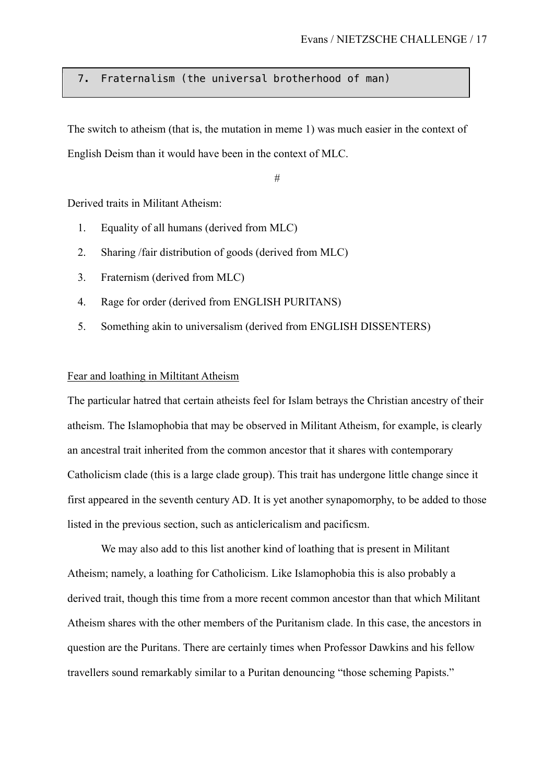## 7. Fraternalism (the universal brotherhood of man)

The switch to atheism (that is, the mutation in meme 1) was much easier in the context of English Deism than it would have been in the context of MLC.

#

Derived traits in Militant Atheism:

- 1. Equality of all humans (derived from MLC)
- 2. Sharing /fair distribution of goods (derived from MLC)
- 3. Fraternism (derived from MLC)
- 4. Rage for order (derived from ENGLISH PURITANS)
- 5. Something akin to universalism (derived from ENGLISH DISSENTERS)

#### Fear and loathing in Miltitant Atheism

The particular hatred that certain atheists feel for Islam betrays the Christian ancestry of their atheism. The Islamophobia that may be observed in Militant Atheism, for example, is clearly an ancestral trait inherited from the common ancestor that it shares with contemporary Catholicism clade (this is a large clade group). This trait has undergone little change since it first appeared in the seventh century AD. It is yet another synapomorphy, to be added to those listed in the previous section, such as anticlericalism and pacificsm.

We may also add to this list another kind of loathing that is present in Militant Atheism; namely, a loathing for Catholicism. Like Islamophobia this is also probably a derived trait, though this time from a more recent common ancestor than that which Militant Atheism shares with the other members of the Puritanism clade. In this case, the ancestors in question are the Puritans. There are certainly times when Professor Dawkins and his fellow travellers sound remarkably similar to a Puritan denouncing "those scheming Papists."